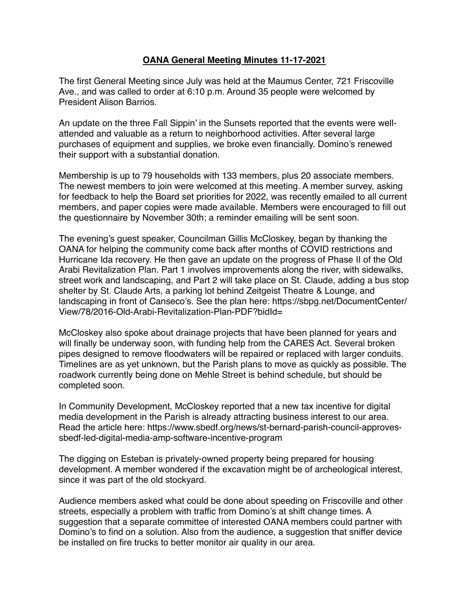## **OANA General Meeting Minutes 11-17-2021**

The first General Meeting since July was held at the Maumus Center, 721 Friscoville Ave., and was called to order at 6:10 p.m. Around 35 people were welcomed by President Alison Barrios.

An update on the three Fall Sippin' in the Sunsets reported that the events were wellattended and valuable as a return to neighborhood activities. After several large purchases of equipment and supplies, we broke even financially. Domino's renewed their support with a substantial donation.

Membership is up to 79 households with 133 members, plus 20 associate members. The newest members to join were welcomed at this meeting. A member survey, asking for feedback to help the Board set priorities for 2022, was recently emailed to all current members, and paper copies were made available. Members were encouraged to fill out the questionnaire by November 30th; a reminder emailing will be sent soon.

The evening's guest speaker, Councilman Gillis McCloskey, began by thanking the OANA for helping the community come back after months of COVID restrictions and Hurricane Ida recovery. He then gave an update on the progress of Phase II of the Old Arabi Revitalization Plan. Part 1 involves improvements along the river, with sidewalks, street work and landscaping, and Part 2 will take place on St. Claude, adding a bus stop shelter by St. Claude Arts, a parking lot behind Zeitgeist Theatre & Lounge, and landscaping in front of Canseco's. See the plan here: [https://sbpg.net/DocumentCenter/](https://sbpg.net/DocumentCenter/View/78/2016-Old-Arabi-Revitalization-Plan-PDF?bidId=) [View/78/2016-Old-Arabi-Revitalization-Plan-PDF?bidId=](https://sbpg.net/DocumentCenter/View/78/2016-Old-Arabi-Revitalization-Plan-PDF?bidId=)

McCloskey also spoke about drainage projects that have been planned for years and will finally be underway soon, with funding help from the CARES Act. Several broken pipes designed to remove floodwaters will be repaired or replaced with larger conduits. Timelines are as yet unknown, but the Parish plans to move as quickly as possible. The roadwork currently being done on Mehle Street is behind schedule, but should be completed soon.

In Community Development, McCloskey reported that a new tax incentive for digital media development in the Parish is already attracting business interest to our area. Read the article here: [https://www.sbedf.org/news/st-bernard-parish-council-approves](https://www.sbedf.org/news/st-bernard-parish-council-approves-sbedf-led-digital-media-amp-software-incentive-program)[sbedf-led-digital-media-amp-software-incentive-program](https://www.sbedf.org/news/st-bernard-parish-council-approves-sbedf-led-digital-media-amp-software-incentive-program)

The digging on Esteban is privately-owned property being prepared for housing development. A member wondered if the excavation might be of archeological interest, since it was part of the old stockyard.

Audience members asked what could be done about speeding on Friscoville and other streets, especially a problem with traffic from Domino's at shift change times. A suggestion that a separate committee of interested OANA members could partner with Domino's to find on a solution. Also from the audience, a suggestion that sniffer device be installed on fire trucks to better monitor air quality in our area.